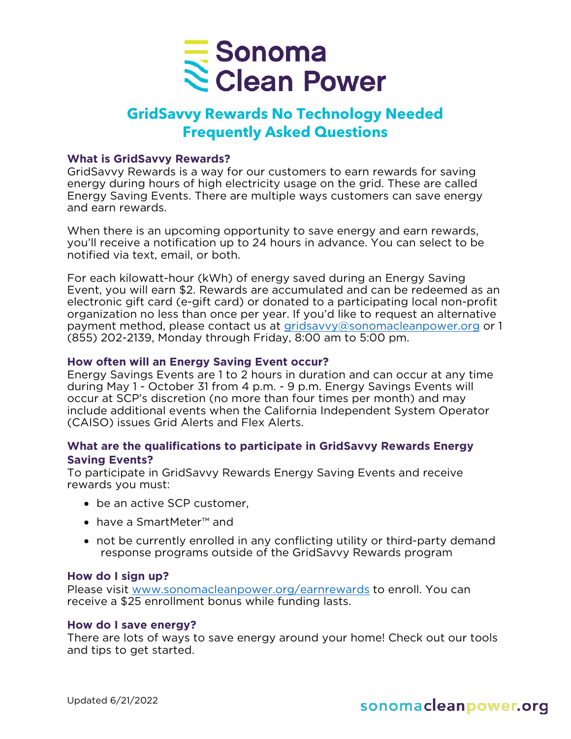

# **GridSavvy Rewards No Technology Needed Frequently Asked Questions**

## **What is GridSavvy Rewards?**

GridSavvy Rewards is a way for our customers to earn rewards for saving energy during hours of high electricity usage on the grid. These are called Energy Saving Events. There are multiple ways customers can save energy and earn rewards.

When there is an upcoming opportunity to save energy and earn rewards, you'll receive a notification up to 24 hours in advance. You can select to be notified via text, email, or both.

For each kilowatt-hour (kWh) of energy saved during an Energy Saving Event, you will earn \$2. Rewards are accumulated and can be redeemed as an electronic gift card (e-gift card) or donated to a participating local non-profit organization no less than once per year. If you'd like to request an alternative payment method, please contact us at [gridsavvy@sonomacleanpower.org](mailto:gridsavvy@sonomacleanpower.org) or 1 (855) 202-2139, Monday through Friday, 8:00 am to 5:00 pm.

# **How often will an Energy Saving Event occur?**

Energy Savings Events are 1 to 2 hours in duration and can occur at any time during May 1 - October 31 from 4 p.m. - 9 p.m. Energy Savings Events will occur at SCP's discretion (no more than four times per month) and may include additional events when the California Independent System Operator (CAISO) issues Grid Alerts and Flex Alerts.

# **What are the qualifications to participate in GridSavvy Rewards Energy Saving Events?**

To participate in GridSavvy Rewards Energy Saving Events and receive rewards you must:

- be an active SCP customer,
- have a SmartMeter™ and
- not be currently enrolled in any conflicting utility or third-party demand response programs outside of the GridSavvy Rewards program

## **How do I sign up?**

Please visit [www.sonomacleanpower.org/earnrewards](http://www.sonomacleanpower.org/earnrewards) to enroll. You can receive a \$25 enrollment bonus while funding lasts.

### **How do I save energy?**

There are lots of ways to save energy around your home! Check out our tools and tips to get started.

# sonomacleanpower.org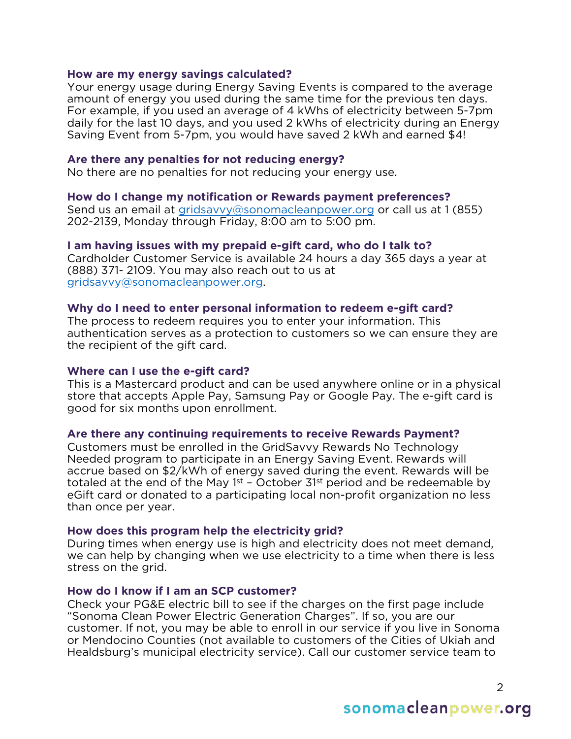## **How are my energy savings calculated?**

Your energy usage during Energy Saving Events is compared to the average amount of energy you used during the same time for the previous ten days. For example, if you used an average of 4 kWhs of electricity between 5-7pm daily for the last 10 days, and you used 2 kWhs of electricity during an Energy Saving Event from 5-7pm, you would have saved 2 kWh and earned \$4!

## **Are there any penalties for not reducing energy?**

No there are no penalties for not reducing your energy use.

### **How do I change my notification or Rewards payment preferences?**

Send us an email at [gridsavvy@sonomacleanpower.org](mailto:gridsavvy@sonomacleanpower.org) or call us at 1 (855) 202-2139, Monday through Friday, 8:00 am to 5:00 pm.

### **I am having issues with my prepaid e-gift card, who do I talk to?**

Cardholder Customer Service is available 24 hours a day 365 days a year at (888) 371- 2109. You may also reach out to us at [gridsavvy@sonomacleanpower.org.](mailto:gridsavvy@sonomacleanpower.org)

## **Why do I need to enter personal information to redeem e-gift card?**

The process to redeem requires you to enter your information. This authentication serves as a protection to customers so we can ensure they are the recipient of the gift card.

## **Where can I use the e-gift card?**

This is a Mastercard product and can be used anywhere online or in a physical store that accepts Apple Pay, Samsung Pay or Google Pay. The e-gift card is good for six months upon enrollment.

### **Are there any continuing requirements to receive Rewards Payment?**

Customers must be enrolled in the GridSavvy Rewards No Technology Needed program to participate in an Energy Saving Event. Rewards will accrue based on \$2/kWh of energy saved during the event. Rewards will be totaled at the end of the May  $1<sup>st</sup>$  – October  $31<sup>st</sup>$  period and be redeemable by eGift card or donated to a participating local non-profit organization no less than once per year.

### **How does this program help the electricity grid?**

During times when energy use is high and electricity does not meet demand, we can help by changing when we use electricity to a time when there is less stress on the grid.

### **How do I know if I am an SCP customer?**

Check your PG&E electric bill to see if the charges on the first page include "Sonoma Clean Power Electric Generation Charges". If so, you are our customer. If not, you may be able to enroll in our service if you live in Sonoma or Mendocino Counties (not available to customers of the Cities of Ukiah and Healdsburg's municipal electricity service). Call our customer service team to